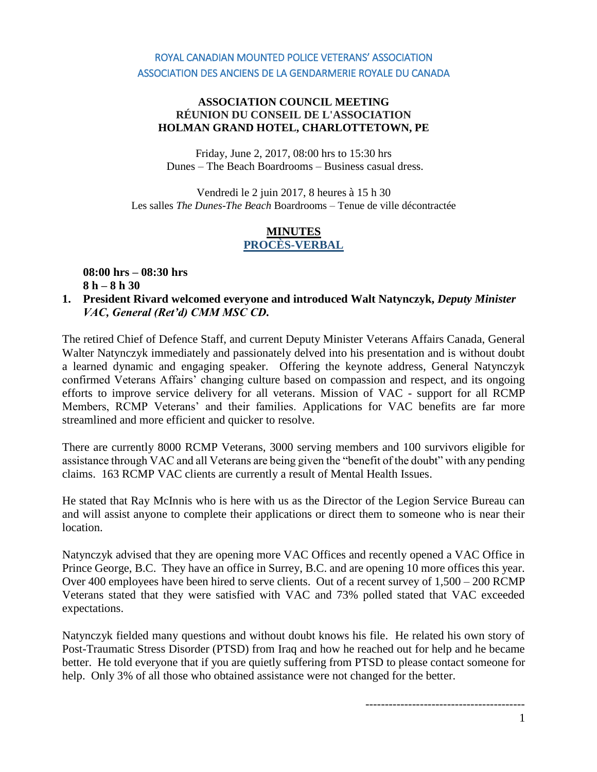# ROYAL CANADIAN MOUNTED POLICE VETERANS' ASSOCIATION ASSOCIATION DES ANCIENS DE LA GENDARMERIE ROYALE DU CANADA

#### **ASSOCIATION COUNCIL MEETING RÉUNION DU CONSEIL DE L'ASSOCIATION HOLMAN GRAND HOTEL, CHARLOTTETOWN, PE**

Friday, June 2, 2017, 08:00 hrs to 15:30 hrs Dunes – The Beach Boardrooms – Business casual dress.

Vendredi le 2 juin 2017, 8 heures à 15 h 30 Les salles *The Dunes*-*The Beach* Boardrooms – Tenue de ville décontractée

## **MINUTES PROCÈS-VERBAL**

**08:00 hrs – 08:30 hrs 8 h – 8 h 30**

**1. President Rivard welcomed everyone and introduced Walt Natynczyk,** *Deputy Minister VAC, General (Ret'd) CMM MSC CD.* 

The retired Chief of Defence Staff, and current Deputy Minister Veterans Affairs Canada, General Walter Natynczyk immediately and passionately delved into his presentation and is without doubt a learned dynamic and engaging speaker. Offering the keynote address, General Natynczyk confirmed Veterans Affairs' changing culture based on compassion and respect, and its ongoing efforts to improve service delivery for all veterans. Mission of VAC - support for all RCMP Members, RCMP Veterans' and their families. Applications for VAC benefits are far more streamlined and more efficient and quicker to resolve.

There are currently 8000 RCMP Veterans, 3000 serving members and 100 survivors eligible for assistance through VAC and all Veterans are being given the "benefit of the doubt" with any pending claims. 163 RCMP VAC clients are currently a result of Mental Health Issues.

He stated that Ray McInnis who is here with us as the Director of the Legion Service Bureau can and will assist anyone to complete their applications or direct them to someone who is near their location.

Natynczyk advised that they are opening more VAC Offices and recently opened a VAC Office in Prince George, B.C. They have an office in Surrey, B.C. and are opening 10 more offices this year. Over 400 employees have been hired to serve clients. Out of a recent survey of 1,500 – 200 RCMP Veterans stated that they were satisfied with VAC and 73% polled stated that VAC exceeded expectations.

Natynczyk fielded many questions and without doubt knows his file. He related his own story of Post-Traumatic Stress Disorder (PTSD) from Iraq and how he reached out for help and he became better. He told everyone that if you are quietly suffering from PTSD to please contact someone for help. Only 3% of all those who obtained assistance were not changed for the better.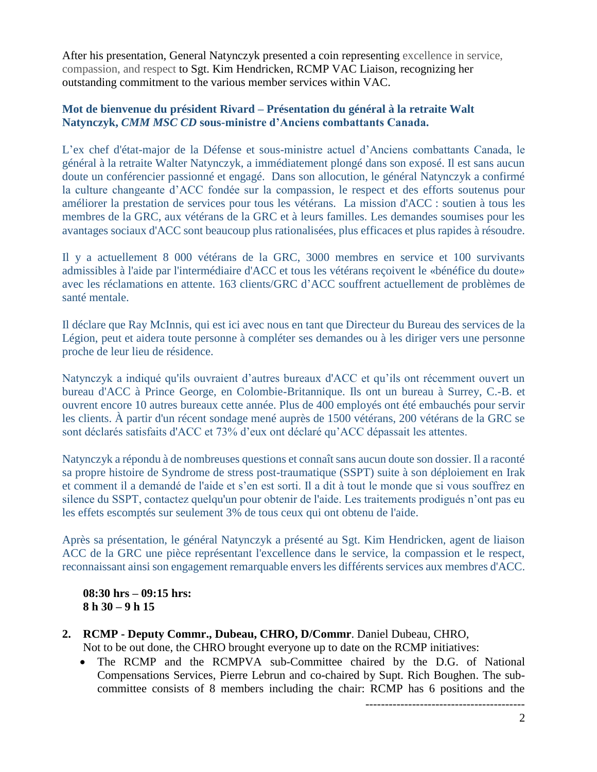After his presentation, General Natynczyk presented a coin representing excellence in service, compassion, and respect to Sgt. Kim Hendricken, RCMP VAC Liaison, recognizing her outstanding commitment to the various member services within VAC.

## **Mot de bienvenue du président Rivard – Présentation du général à la retraite Walt Natynczyk,** *CMM MSC CD* **sous-ministre d'Anciens combattants Canada.**

L'ex chef d'état-major de la Défense et sous-ministre actuel d'Anciens combattants Canada, le général à la retraite Walter Natynczyk, a immédiatement plongé dans son exposé. Il est sans aucun doute un conférencier passionné et engagé. Dans son allocution, le général Natynczyk a confirmé la culture changeante d'ACC fondée sur la compassion, le respect et des efforts soutenus pour améliorer la prestation de services pour tous les vétérans. La mission d'ACC : soutien à tous les membres de la GRC, aux vétérans de la GRC et à leurs familles. Les demandes soumises pour les avantages sociaux d'ACC sont beaucoup plus rationalisées, plus efficaces et plus rapides à résoudre.

Il y a actuellement 8 000 vétérans de la GRC, 3000 membres en service et 100 survivants admissibles à l'aide par l'intermédiaire d'ACC et tous les vétérans reçoivent le «bénéfice du doute» avec les réclamations en attente. 163 clients/GRC d'ACC souffrent actuellement de problèmes de santé mentale.

Il déclare que Ray McInnis, qui est ici avec nous en tant que Directeur du Bureau des services de la Légion, peut et aidera toute personne à compléter ses demandes ou à les diriger vers une personne proche de leur lieu de résidence.

Natynczyk a indiqué qu'ils ouvraient d'autres bureaux d'ACC et qu'ils ont récemment ouvert un bureau d'ACC à Prince George, en Colombie-Britannique. Ils ont un bureau à Surrey, C.-B. et ouvrent encore 10 autres bureaux cette année. Plus de 400 employés ont été embauchés pour servir les clients. À partir d'un récent sondage mené auprès de 1500 vétérans, 200 vétérans de la GRC se sont déclarés satisfaits d'ACC et 73% d'eux ont déclaré qu'ACC dépassait les attentes.

Natynczyk a répondu à de nombreuses questions et connaît sans aucun doute son dossier. Il a raconté sa propre histoire de Syndrome de stress post-traumatique (SSPT) suite à son déploiement en Irak et comment il a demandé de l'aide et s'en est sorti. Il a dit à tout le monde que si vous souffrez en silence du SSPT, contactez quelqu'un pour obtenir de l'aide. Les traitements prodigués n'ont pas eu les effets escomptés sur seulement 3% de tous ceux qui ont obtenu de l'aide.

Après sa présentation, le général Natynczyk a présenté au Sgt. Kim Hendricken, agent de liaison ACC de la GRC une pièce représentant l'excellence dans le service, la compassion et le respect, reconnaissant ainsi son engagement remarquable envers les différents services aux membres d'ACC.

**08:30 hrs – 09:15 hrs: 8 h 30 – 9 h 15**

**2. RCMP - Deputy Commr., Dubeau, CHRO, D/Commr**. Daniel Dubeau, CHRO,

Not to be out done, the CHRO brought everyone up to date on the RCMP initiatives:

• The RCMP and the RCMPVA sub-Committee chaired by the D.G. of National Compensations Services, Pierre Lebrun and co-chaired by Supt. Rich Boughen. The subcommittee consists of 8 members including the chair: RCMP has 6 positions and the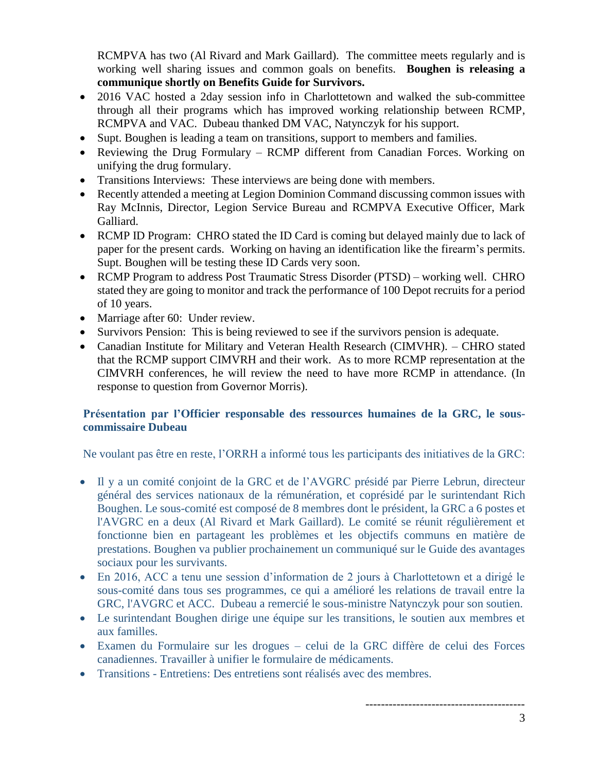RCMPVA has two (Al Rivard and Mark Gaillard). The committee meets regularly and is working well sharing issues and common goals on benefits. **Boughen is releasing a communique shortly on Benefits Guide for Survivors.**

- 2016 VAC hosted a 2day session info in Charlottetown and walked the sub-committee through all their programs which has improved working relationship between RCMP, RCMPVA and VAC. Dubeau thanked DM VAC, Natynczyk for his support.
- Supt. Boughen is leading a team on transitions, support to members and families.
- Reviewing the Drug Formulary RCMP different from Canadian Forces. Working on unifying the drug formulary.
- Transitions Interviews: These interviews are being done with members.
- Recently attended a meeting at Legion Dominion Command discussing common issues with Ray McInnis, Director, Legion Service Bureau and RCMPVA Executive Officer, Mark Galliard.
- RCMP ID Program: CHRO stated the ID Card is coming but delayed mainly due to lack of paper for the present cards. Working on having an identification like the firearm's permits. Supt. Boughen will be testing these ID Cards very soon.
- RCMP Program to address Post Traumatic Stress Disorder (PTSD) working well. CHRO stated they are going to monitor and track the performance of 100 Depot recruits for a period of 10 years.
- Marriage after 60: Under review.
- Survivors Pension: This is being reviewed to see if the survivors pension is adequate.
- Canadian Institute for Military and Veteran Health Research (CIMVHR). CHRO stated that the RCMP support CIMVRH and their work. As to more RCMP representation at the CIMVRH conferences, he will review the need to have more RCMP in attendance. (In response to question from Governor Morris).

# **Présentation par l'Officier responsable des ressources humaines de la GRC, le souscommissaire Dubeau**

Ne voulant pas être en reste, l'ORRH a informé tous les participants des initiatives de la GRC:

- Il y a un comité conjoint de la GRC et de l'AVGRC présidé par Pierre Lebrun, directeur général des services nationaux de la rémunération, et coprésidé par le surintendant Rich Boughen. Le sous-comité est composé de 8 membres dont le président, la GRC a 6 postes et l'AVGRC en a deux (Al Rivard et Mark Gaillard). Le comité se réunit régulièrement et fonctionne bien en partageant les problèmes et les objectifs communs en matière de prestations. Boughen va publier prochainement un communiqué sur le Guide des avantages sociaux pour les survivants.
- En 2016, ACC a tenu une session d'information de 2 jours à Charlottetown et a dirigé le sous-comité dans tous ses programmes, ce qui a amélioré les relations de travail entre la GRC, l'AVGRC et ACC. Dubeau a remercié le sous-ministre Natynczyk pour son soutien.
- Le surintendant Boughen dirige une équipe sur les transitions, le soutien aux membres et aux familles.
- Examen du Formulaire sur les drogues celui de la GRC diffère de celui des Forces canadiennes. Travailler à unifier le formulaire de médicaments.
- Transitions Entretiens: Des entretiens sont réalisés avec des membres.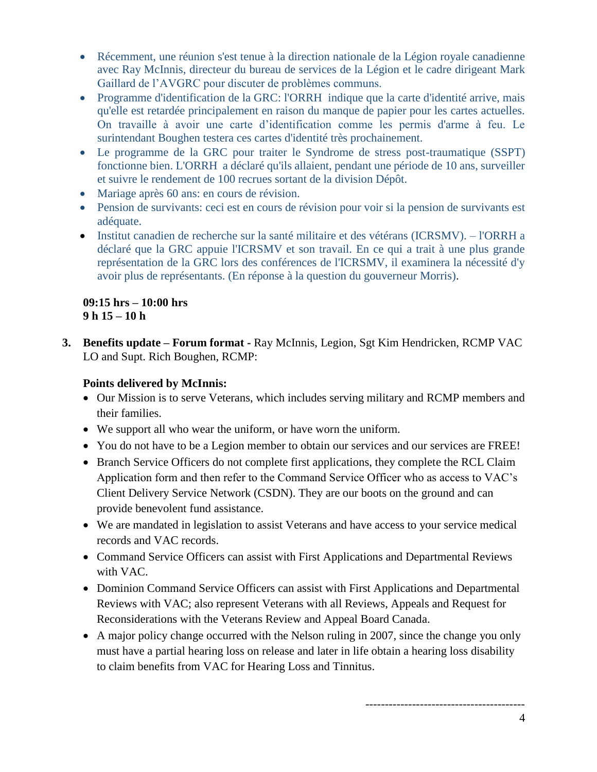- Récemment, une réunion s'est tenue à la direction nationale de la Légion royale canadienne avec Ray McInnis, directeur du bureau de services de la Légion et le cadre dirigeant Mark Gaillard de l'AVGRC pour discuter de problèmes communs.
- Programme d'identification de la GRC: l'ORRH indique que la carte d'identité arrive, mais qu'elle est retardée principalement en raison du manque de papier pour les cartes actuelles. On travaille à avoir une carte d'identification comme les permis d'arme à feu. Le surintendant Boughen testera ces cartes d'identité très prochainement.
- Le programme de la GRC pour traiter le Syndrome de stress post-traumatique (SSPT) fonctionne bien. L'ORRH a déclaré qu'ils allaient, pendant une période de 10 ans, surveiller et suivre le rendement de 100 recrues sortant de la division Dépôt.
- Mariage après 60 ans: en cours de révision.
- Pension de survivants: ceci est en cours de révision pour voir si la pension de survivants est adéquate.
- Institut canadien de recherche sur la santé militaire et des vétérans (ICRSMV). l'ORRH a déclaré que la GRC appuie l'ICRSMV et son travail. En ce qui a trait à une plus grande représentation de la GRC lors des conférences de l'ICRSMV, il examinera la nécessité d'y avoir plus de représentants. (En réponse à la question du gouverneur Morris).

# **09:15 hrs – 10:00 hrs 9 h 15 – 10 h**

**3. Benefits update – Forum format -** Ray McInnis, Legion, Sgt Kim Hendricken, RCMP VAC LO and Supt. Rich Boughen, RCMP:

# **Points delivered by McInnis:**

- Our Mission is to serve Veterans, which includes serving military and RCMP members and their families.
- We support all who wear the uniform, or have worn the uniform.
- You do not have to be a Legion member to obtain our services and our services are FREE!
- Branch Service Officers do not complete first applications, they complete the RCL Claim Application form and then refer to the Command Service Officer who as access to VAC's Client Delivery Service Network (CSDN). They are our boots on the ground and can provide benevolent fund assistance.
- We are mandated in legislation to assist Veterans and have access to your service medical records and VAC records.
- Command Service Officers can assist with First Applications and Departmental Reviews with VAC.
- Dominion Command Service Officers can assist with First Applications and Departmental Reviews with VAC; also represent Veterans with all Reviews, Appeals and Request for Reconsiderations with the Veterans Review and Appeal Board Canada.
- A major policy change occurred with the Nelson ruling in 2007, since the change you only must have a partial hearing loss on release and later in life obtain a hearing loss disability to claim benefits from VAC for Hearing Loss and Tinnitus.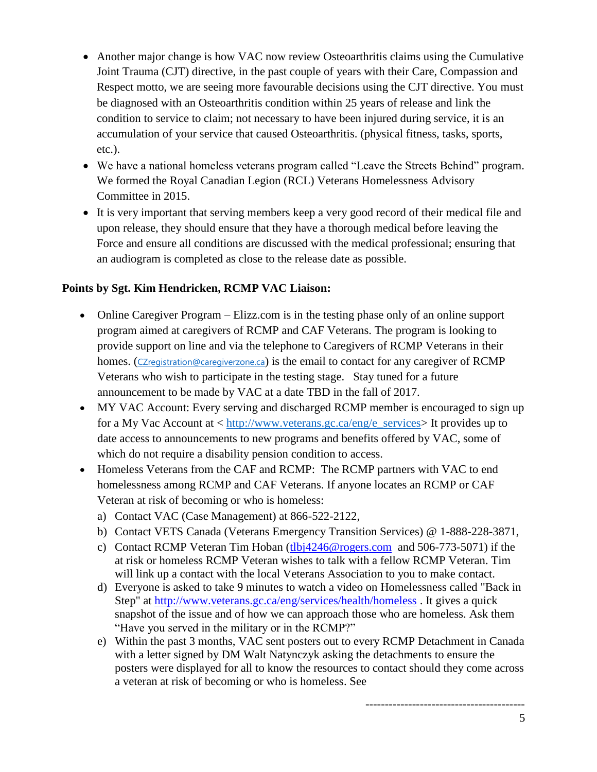- Another major change is how VAC now review Osteoarthritis claims using the Cumulative Joint Trauma (CJT) directive, in the past couple of years with their Care, Compassion and Respect motto, we are seeing more favourable decisions using the CJT directive. You must be diagnosed with an Osteoarthritis condition within 25 years of release and link the condition to service to claim; not necessary to have been injured during service, it is an accumulation of your service that caused Osteoarthritis. (physical fitness, tasks, sports, etc.).
- We have a national homeless veterans program called "Leave the Streets Behind" program. We formed the Royal Canadian Legion (RCL) Veterans Homelessness Advisory Committee in 2015.
- It is very important that serving members keep a very good record of their medical file and upon release, they should ensure that they have a thorough medical before leaving the Force and ensure all conditions are discussed with the medical professional; ensuring that an audiogram is completed as close to the release date as possible.

# **Points by Sgt. Kim Hendricken, RCMP VAC Liaison:**

- Online Caregiver Program Elizz.com is in the testing phase only of an online support program aimed at caregivers of RCMP and CAF Veterans. The program is looking to provide support on line and via the telephone to Caregivers of RCMP Veterans in their homes. ([CZregistration@caregiverzone.ca](mailto:CZregistration@caregiverzone.ca)) is the email to contact for any caregiver of RCMP Veterans who wish to participate in the testing stage. Stay tuned for a future announcement to be made by VAC at a date TBD in the fall of 2017.
- MY VAC Account: Every serving and discharged RCMP member is encouraged to sign up for a My Vac Account at < [http://www.veterans.gc.ca/eng/e\\_services>](http://www.veterans.gc.ca/eng/e_services) It provides up to date access to announcements to new programs and benefits offered by VAC, some of which do not require a disability pension condition to access.
- Homeless Veterans from the CAF and RCMP: The RCMP partners with VAC to end homelessness among RCMP and CAF Veterans. If anyone locates an RCMP or CAF Veteran at risk of becoming or who is homeless:
	- a) Contact VAC (Case Management) at 866-522-2122,
	- b) Contact VETS Canada (Veterans Emergency Transition Services) @ 1-888-228-3871,
	- c) Contact RCMP Veteran Tim Hoban [\(tlbj4246@rogers.com](mailto:tlbj4246@rogers.com) and 506-773-5071) if the at risk or homeless RCMP Veteran wishes to talk with a fellow RCMP Veteran. Tim will link up a contact with the local Veterans Association to you to make contact.
	- d) Everyone is asked to take 9 minutes to watch a video on Homelessness called "Back in Step" at<http://www.veterans.gc.ca/eng/services/health/homeless> . It gives a quick snapshot of the issue and of how we can approach those who are homeless. Ask them "Have you served in the military or in the RCMP?"
	- e) Within the past 3 months, VAC sent posters out to every RCMP Detachment in Canada with a letter signed by DM Walt Natynczyk asking the detachments to ensure the posters were displayed for all to know the resources to contact should they come across a veteran at risk of becoming or who is homeless. See

-----------------------------------------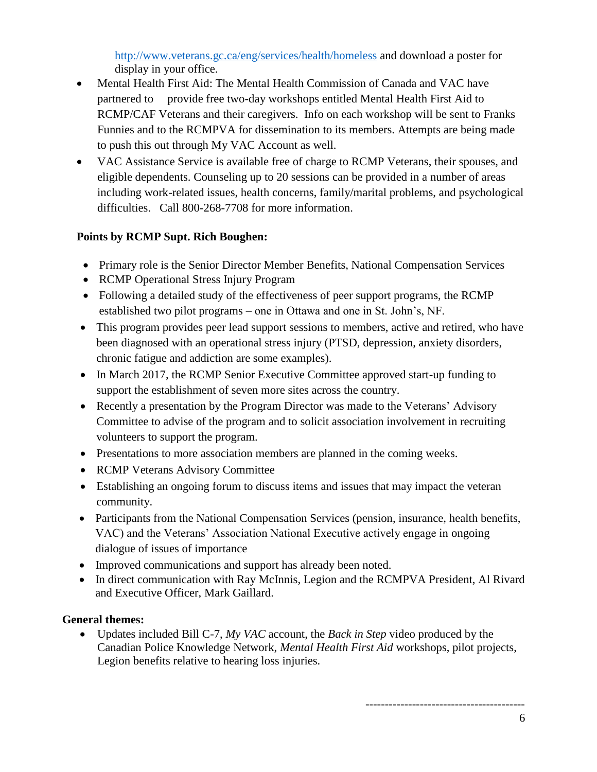<http://www.veterans.gc.ca/eng/services/health/homeless> and download a poster for display in your office.

- Mental Health First Aid: The Mental Health Commission of Canada and VAC have partnered to provide free two-day workshops entitled Mental Health First Aid to RCMP/CAF Veterans and their caregivers. Info on each workshop will be sent to Franks Funnies and to the RCMPVA for dissemination to its members. Attempts are being made to push this out through My VAC Account as well.
- VAC Assistance Service is available free of charge to RCMP Veterans, their spouses, and eligible dependents. Counseling up to 20 sessions can be provided in a number of areas including work-related issues, health concerns, family/marital problems, and psychological difficulties. Call 800-268-7708 for more information.

# **Points by RCMP Supt. Rich Boughen:**

- Primary role is the Senior Director Member Benefits, National Compensation Services
- RCMP Operational Stress Injury Program
- Following a detailed study of the effectiveness of peer support programs, the RCMP established two pilot programs – one in Ottawa and one in St. John's, NF.
- This program provides peer lead support sessions to members, active and retired, who have been diagnosed with an operational stress injury (PTSD, depression, anxiety disorders, chronic fatigue and addiction are some examples).
- In March 2017, the RCMP Senior Executive Committee approved start-up funding to support the establishment of seven more sites across the country.
- Recently a presentation by the Program Director was made to the Veterans' Advisory Committee to advise of the program and to solicit association involvement in recruiting volunteers to support the program.
- Presentations to more association members are planned in the coming weeks.
- RCMP Veterans Advisory Committee
- Establishing an ongoing forum to discuss items and issues that may impact the veteran community.
- Participants from the National Compensation Services (pension, insurance, health benefits, VAC) and the Veterans' Association National Executive actively engage in ongoing dialogue of issues of importance
- Improved communications and support has already been noted.
- In direct communication with Ray McInnis, Legion and the RCMPVA President, Al Rivard and Executive Officer, Mark Gaillard.

## **General themes:**

• Updates included Bill C-7, *My VAC* account, the *Back in Step* video produced by the Canadian Police Knowledge Network, *Mental Health First Aid* workshops, pilot projects, Legion benefits relative to hearing loss injuries.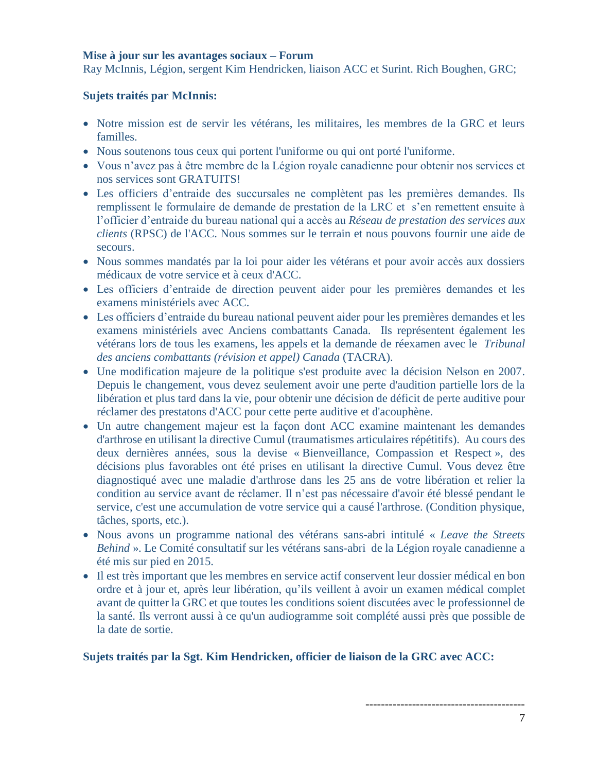#### **Mise à jour sur les avantages sociaux – Forum**

Ray McInnis, Légion, sergent Kim Hendricken, liaison ACC et Surint. Rich Boughen, GRC;

#### **Sujets traités par McInnis:**

- Notre mission est de servir les vétérans, les militaires, les membres de la GRC et leurs familles.
- Nous soutenons tous ceux qui portent l'uniforme ou qui ont porté l'uniforme.
- Vous n'avez pas à être membre de la Légion royale canadienne pour obtenir nos services et nos services sont GRATUITS!
- Les officiers d'entraide des succursales ne complètent pas les premières demandes. Ils remplissent le formulaire de demande de prestation de la LRC et s'en remettent ensuite à l'officier d'entraide du bureau national qui a accès au *Réseau de prestation des services aux clients* (RPSC) de l'ACC. Nous sommes sur le terrain et nous pouvons fournir une aide de secours.
- Nous sommes mandatés par la loi pour aider les vétérans et pour avoir accès aux dossiers médicaux de votre service et à ceux d'ACC.
- Les officiers d'entraide de direction peuvent aider pour les premières demandes et les examens ministériels avec ACC.
- Les officiers d'entraide du bureau national peuvent aider pour les premières demandes et les examens ministériels avec Anciens combattants Canada. Ils représentent également les vétérans lors de tous les examens, les appels et la demande de réexamen avec le *Tribunal des anciens combattants (révision et appel) Canada* (TACRA).
- Une modification majeure de la politique s'est produite avec la décision Nelson en 2007. Depuis le changement, vous devez seulement avoir une perte d'audition partielle lors de la libération et plus tard dans la vie, pour obtenir une décision de déficit de perte auditive pour réclamer des prestatons d'ACC pour cette perte auditive et d'acouphène.
- Un autre changement majeur est la façon dont ACC examine maintenant les demandes d'arthrose en utilisant la directive Cumul (traumatismes articulaires répétitifs). Au cours des deux dernières années, sous la devise « Bienveillance, Compassion et Respect », des décisions plus favorables ont été prises en utilisant la directive Cumul. Vous devez être diagnostiqué avec une maladie d'arthrose dans les 25 ans de votre libération et relier la condition au service avant de réclamer. Il n'est pas nécessaire d'avoir été blessé pendant le service, c'est une accumulation de votre service qui a causé l'arthrose. (Condition physique, tâches, sports, etc.).
- Nous avons un programme national des vétérans sans-abri intitulé « *Leave the Streets Behind* ». Le Comité consultatif sur les vétérans sans-abri de la Légion royale canadienne a été mis sur pied en 2015.
- Il est très important que les membres en service actif conservent leur dossier médical en bon ordre et à jour et, après leur libération, qu'ils veillent à avoir un examen médical complet avant de quitter la GRC et que toutes les conditions soient discutées avec le professionnel de la santé. Ils verront aussi à ce qu'un audiogramme soit complété aussi près que possible de la date de sortie.

## **Sujets traités par la Sgt. Kim Hendricken, officier de liaison de la GRC avec ACC:**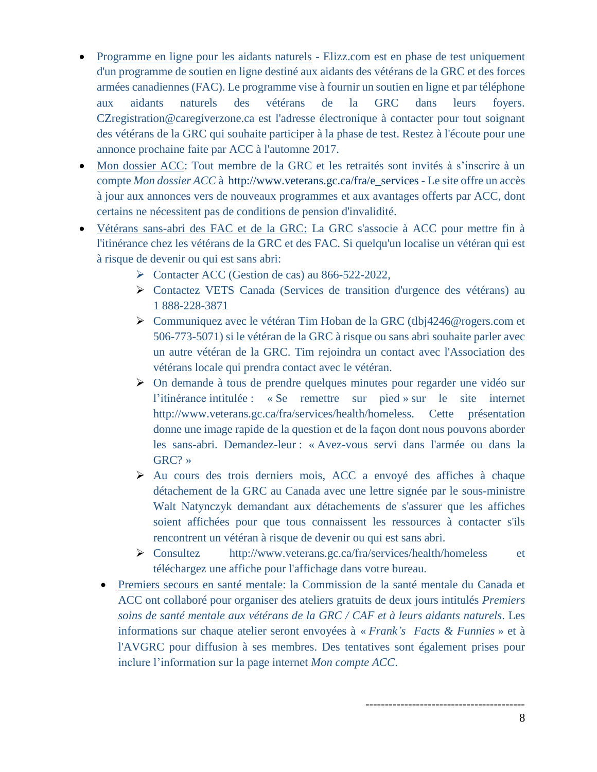- Programme en ligne pour les aidants naturels Elizz.com est en phase de test uniquement d'un programme de soutien en ligne destiné aux aidants des vétérans de la GRC et des forces armées canadiennes (FAC). Le programme vise à fournir un soutien en ligne et par téléphone aux aidants naturels des vétérans de la GRC dans leurs foyers. CZregistration@caregiverzone.ca est l'adresse électronique à contacter pour tout soignant des vétérans de la GRC qui souhaite participer à la phase de test. Restez à l'écoute pour une annonce prochaine faite par ACC à l'automne 2017.
- Mon dossier ACC: Tout membre de la GRC et les retraités sont invités à s'inscrire à un compte *Mon dossier ACC* à [http://www.veterans.gc.ca/fra/e\\_services](http://www.veterans.gc.ca/fra/e_services) - Le site offre un accès à jour aux annonces vers de nouveaux programmes et aux avantages offerts par ACC, dont certains ne nécessitent pas de conditions de pension d'invalidité.
- Vétérans sans-abri des FAC et de la GRC: La GRC s'associe à ACC pour mettre fin à l'itinérance chez les vétérans de la GRC et des FAC. Si quelqu'un localise un vétéran qui est à risque de devenir ou qui est sans abri:
	- ➢ Contacter ACC (Gestion de cas) au 866-522-2022,
	- ➢ Contactez VETS Canada (Services de transition d'urgence des vétérans) au 1 888-228-3871
	- ➢ Communiquez avec le vétéran Tim Hoban de la GRC (tlbj4246@rogers.com et 506-773-5071) si le vétéran de la GRC à risque ou sans abri souhaite parler avec un autre vétéran de la GRC. Tim rejoindra un contact avec l'Association des vétérans locale qui prendra contact avec le vétéran.
	- ➢ On demande à tous de prendre quelques minutes pour regarder une vidéo sur l'itinérance intitulée : « Se remettre sur pied » sur le site internet http://www.veterans.gc.ca/fra/services/health/homeless. Cette présentation donne une image rapide de la question et de la façon dont nous pouvons aborder les sans-abri. Demandez-leur : « Avez-vous servi dans l'armée ou dans la GRC? »
	- ➢ Au cours des trois derniers mois, ACC a envoyé des affiches à chaque détachement de la GRC au Canada avec une lettre signée par le sous-ministre Walt Natynczyk demandant aux détachements de s'assurer que les affiches soient affichées pour que tous connaissent les ressources à contacter s'ils rencontrent un vétéran à risque de devenir ou qui est sans abri.
	- ➢ Consultez http://www.veterans.gc.ca/fra/services/health/homeless et téléchargez une affiche pour l'affichage dans votre bureau.
	- Premiers secours en santé mentale: la Commission de la santé mentale du Canada et ACC ont collaboré pour organiser des ateliers gratuits de deux jours intitulés *Premiers soins de santé mentale aux vétérans de la GRC / CAF et à leurs aidants naturels*. Les informations sur chaque atelier seront envoyées à « *Frank's Facts & Funnies* » et à l'AVGRC pour diffusion à ses membres. Des tentatives sont également prises pour inclure l'information sur la page internet *Mon compte ACC*.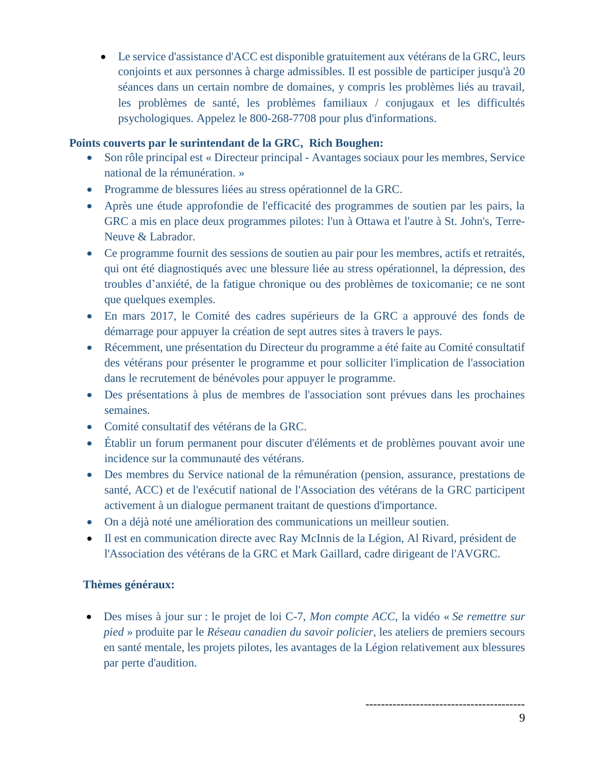• Le service d'assistance d'ACC est disponible gratuitement aux vétérans de la GRC, leurs conjoints et aux personnes à charge admissibles. Il est possible de participer jusqu'à 20 séances dans un certain nombre de domaines, y compris les problèmes liés au travail, les problèmes de santé, les problèmes familiaux / conjugaux et les difficultés psychologiques. Appelez le 800-268-7708 pour plus d'informations.

# **Points couverts par le surintendant de la GRC, Rich Boughen:**

- Son rôle principal est « Directeur principal Avantages sociaux pour les membres, Service national de la rémunération. »
- Programme de blessures liées au stress opérationnel de la GRC.
- Après une étude approfondie de l'efficacité des programmes de soutien par les pairs, la GRC a mis en place deux programmes pilotes: l'un à Ottawa et l'autre à St. John's, Terre-Neuve & Labrador.
- Ce programme fournit des sessions de soutien au pair pour les membres, actifs et retraités, qui ont été diagnostiqués avec une blessure liée au stress opérationnel, la dépression, des troubles d'anxiété, de la fatigue chronique ou des problèmes de toxicomanie; ce ne sont que quelques exemples.
- En mars 2017, le Comité des cadres supérieurs de la GRC a approuvé des fonds de démarrage pour appuyer la création de sept autres sites à travers le pays.
- Récemment, une présentation du Directeur du programme a été faite au Comité consultatif des vétérans pour présenter le programme et pour solliciter l'implication de l'association dans le recrutement de bénévoles pour appuyer le programme.
- Des présentations à plus de membres de l'association sont prévues dans les prochaines semaines.
- Comité consultatif des vétérans de la GRC.
- Établir un forum permanent pour discuter d'éléments et de problèmes pouvant avoir une incidence sur la communauté des vétérans.
- Des membres du Service national de la rémunération (pension, assurance, prestations de santé, ACC) et de l'exécutif national de l'Association des vétérans de la GRC participent activement à un dialogue permanent traitant de questions d'importance.
- On a déjà noté une amélioration des communications un meilleur soutien.
- Il est en communication directe avec Ray McInnis de la Légion, Al Rivard, président de l'Association des vétérans de la GRC et Mark Gaillard, cadre dirigeant de l'AVGRC.

# **Thèmes généraux:**

• Des mises à jour sur : le projet de loi C-7, *Mon compte ACC*, la vidéo « *Se remettre sur pied* » produite par le *Réseau canadien du savoir policier*, les ateliers de premiers secours en santé mentale, les projets pilotes, les avantages de la Légion relativement aux blessures par perte d'audition.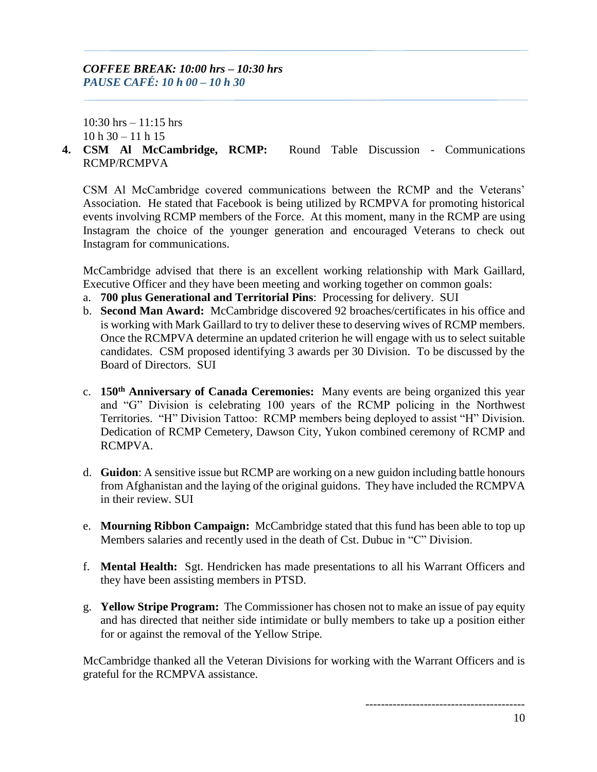10:30 hrs – 11:15 hrs  $10 h 30 - 11 h 15$ 

**4. CSM Al McCambridge, RCMP:** Round Table Discussion - Communications RCMP/RCMPVA

CSM Al McCambridge covered communications between the RCMP and the Veterans' Association. He stated that Facebook is being utilized by RCMPVA for promoting historical events involving RCMP members of the Force. At this moment, many in the RCMP are using Instagram the choice of the younger generation and encouraged Veterans to check out Instagram for communications.

McCambridge advised that there is an excellent working relationship with Mark Gaillard, Executive Officer and they have been meeting and working together on common goals:

- a. **700 plus Generational and Territorial Pins**: Processing for delivery. SUI
- b. **Second Man Award:** McCambridge discovered 92 broaches/certificates in his office and is working with Mark Gaillard to try to deliver these to deserving wives of RCMP members. Once the RCMPVA determine an updated criterion he will engage with us to select suitable candidates. CSM proposed identifying 3 awards per 30 Division. To be discussed by the Board of Directors. SUI
- c. **150th Anniversary of Canada Ceremonies:** Many events are being organized this year and "G" Division is celebrating 100 years of the RCMP policing in the Northwest Territories. "H" Division Tattoo: RCMP members being deployed to assist "H" Division. Dedication of RCMP Cemetery, Dawson City, Yukon combined ceremony of RCMP and RCMPVA.
- d. **Guidon**: A sensitive issue but RCMP are working on a new guidon including battle honours from Afghanistan and the laying of the original guidons. They have included the RCMPVA in their review. SUI
- e. **Mourning Ribbon Campaign:** McCambridge stated that this fund has been able to top up Members salaries and recently used in the death of Cst. Dubuc in "C" Division.
- f. **Mental Health:** Sgt. Hendricken has made presentations to all his Warrant Officers and they have been assisting members in PTSD.
- g. **Yellow Stripe Program:** The Commissioner has chosen not to make an issue of pay equity and has directed that neither side intimidate or bully members to take up a position either for or against the removal of the Yellow Stripe.

McCambridge thanked all the Veteran Divisions for working with the Warrant Officers and is grateful for the RCMPVA assistance.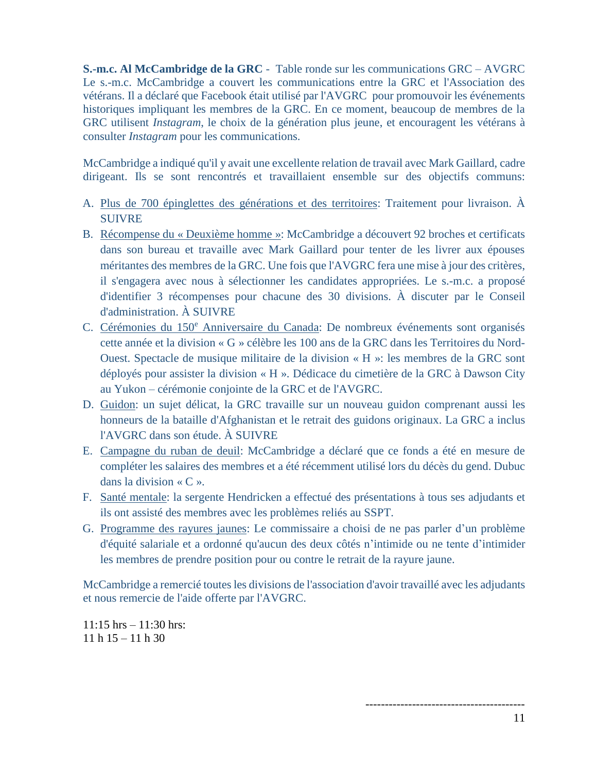**S.-m.c. Al McCambridge de la GRC** - Table ronde sur les communications GRC – AVGRC Le s.-m.c. McCambridge a couvert les communications entre la GRC et l'Association des vétérans. Il a déclaré que Facebook était utilisé par l'AVGRC pour promouvoir les événements historiques impliquant les membres de la GRC. En ce moment, beaucoup de membres de la GRC utilisent *Instagram*, le choix de la génération plus jeune, et encouragent les vétérans à consulter *Instagram* pour les communications.

McCambridge a indiqué qu'il y avait une excellente relation de travail avec Mark Gaillard, cadre dirigeant. Ils se sont rencontrés et travaillaient ensemble sur des objectifs communs:

- A. Plus de 700 épinglettes des générations et des territoires: Traitement pour livraison. À SUIVRE
- B. Récompense du « Deuxième homme »: McCambridge a découvert 92 broches et certificats dans son bureau et travaille avec Mark Gaillard pour tenter de les livrer aux épouses méritantes des membres de la GRC. Une fois que l'AVGRC fera une mise à jour des critères, il s'engagera avec nous à sélectionner les candidates appropriées. Le s.-m.c. a proposé d'identifier 3 récompenses pour chacune des 30 divisions. À discuter par le Conseil d'administration. À SUIVRE
- C. Cérémonies du 150<sup>e</sup> Anniversaire du Canada: De nombreux événements sont organisés cette année et la division « G » célèbre les 100 ans de la GRC dans les Territoires du Nord-Ouest. Spectacle de musique militaire de la division « H »: les membres de la GRC sont déployés pour assister la division « H ». Dédicace du cimetière de la GRC à Dawson City au Yukon – cérémonie conjointe de la GRC et de l'AVGRC.
- D. Guidon: un sujet délicat, la GRC travaille sur un nouveau guidon comprenant aussi les honneurs de la bataille d'Afghanistan et le retrait des guidons originaux. La GRC a inclus l'AVGRC dans son étude. À SUIVRE
- E. Campagne du ruban de deuil: McCambridge a déclaré que ce fonds a été en mesure de compléter les salaires des membres et a été récemment utilisé lors du décès du gend. Dubuc dans la division  $\ll C \gg$ .
- F. Santé mentale: la sergente Hendricken a effectué des présentations à tous ses adjudants et ils ont assisté des membres avec les problèmes reliés au SSPT.
- G. Programme des rayures jaunes: Le commissaire a choisi de ne pas parler d'un problème d'équité salariale et a ordonné qu'aucun des deux côtés n'intimide ou ne tente d'intimider les membres de prendre position pour ou contre le retrait de la rayure jaune.

McCambridge a remercié toutes les divisions de l'association d'avoir travaillé avec les adjudants et nous remercie de l'aide offerte par l'AVGRC.

 $11:15$  hrs  $-11:30$  hrs:  $11 h 15 - 11 h 30$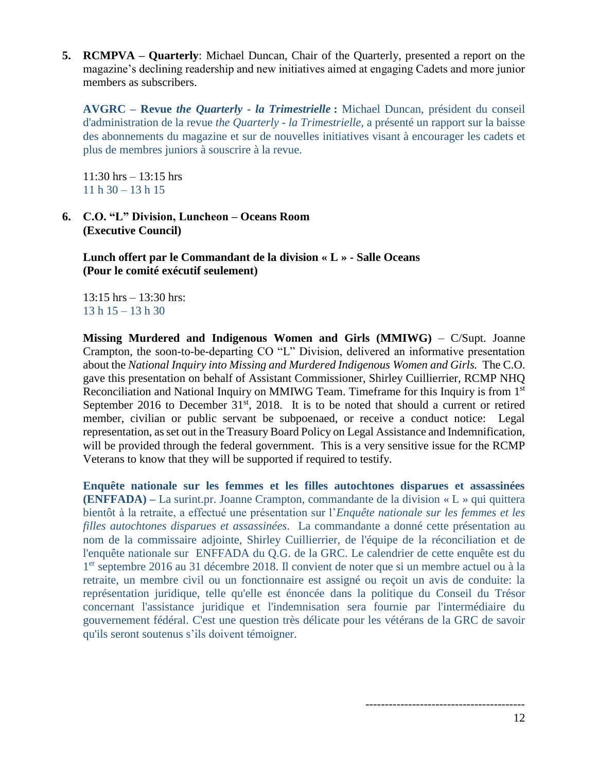**5. RCMPVA – Quarterly**: Michael Duncan, Chair of the Quarterly, presented a report on the magazine's declining readership and new initiatives aimed at engaging Cadets and more junior members as subscribers.

**AVGRC – Revue** *the Quarterly - la Trimestrielle* **:** Michael Duncan, président du conseil d'administration de la revue *the Quarterly - la Trimestrielle*, a présenté un rapport sur la baisse des abonnements du magazine et sur de nouvelles initiatives visant à encourager les cadets et plus de membres juniors à souscrire à la revue.

11:30 hrs – 13:15 hrs  $11 h 30 - 13 h 15$ 

**6. C.O. "L" Division, Luncheon – Oceans Room (Executive Council)**

**Lunch offert par le Commandant de la division « L » - Salle Oceans (Pour le comité exécutif seulement)**

 $13:15$  hrs  $-13:30$  hrs: 13 h 15 – 13 h 30

**Missing Murdered and Indigenous Women and Girls (MMIWG)** – C/Supt. Joanne Crampton, the soon-to-be-departing CO "L" Division, delivered an informative presentation about the *National Inquiry into Missing and Murdered Indigenous Women and Girls.* The C.O. gave this presentation on behalf of Assistant Commissioner, Shirley Cuillierrier, RCMP NHQ Reconciliation and National Inquiry on MMIWG Team. Timeframe for this Inquiry is from 1<sup>st</sup> September 2016 to December  $31<sup>st</sup>$ , 2018. It is to be noted that should a current or retired member, civilian or public servant be subpoenaed, or receive a conduct notice: Legal representation, as set out in the Treasury Board Policy on Legal Assistance and Indemnification, will be provided through the federal government. This is a very sensitive issue for the RCMP Veterans to know that they will be supported if required to testify.

**Enquête nationale sur les femmes et les filles autochtones disparues et assassinées (ENFFADA) –** La surint.pr. Joanne Crampton, commandante de la division « L » qui quittera bientôt à la retraite, a effectué une présentation sur l'*Enquête nationale sur les femmes et les filles autochtones disparues et assassinées*. La commandante a donné cette présentation au nom de la commissaire adjointe, Shirley Cuillierrier, de l'équipe de la réconciliation et de l'enquête nationale sur ENFFADA du Q.G. de la GRC. Le calendrier de cette enquête est du 1 er septembre 2016 au 31 décembre 2018. Il convient de noter que si un membre actuel ou à la retraite, un membre civil ou un fonctionnaire est assigné ou reçoit un avis de conduite: la représentation juridique, telle qu'elle est énoncée dans la politique du Conseil du Trésor concernant l'assistance juridique et l'indemnisation sera fournie par l'intermédiaire du gouvernement fédéral. C'est une question très délicate pour les vétérans de la GRC de savoir qu'ils seront soutenus s'ils doivent témoigner.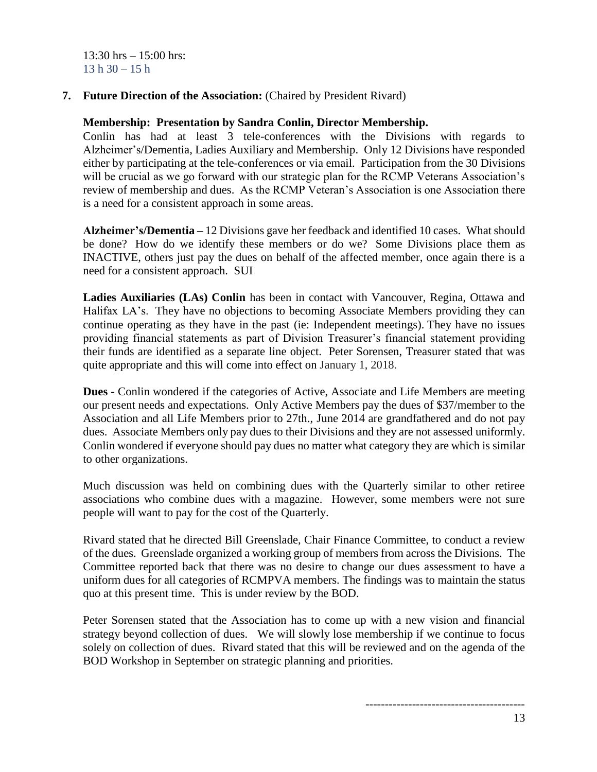$13:30$  hrs  $-15:00$  hrs:  $13 h 30 - 15 h$ 

**7. Future Direction of the Association:** (Chaired by President Rivard)

#### **Membership: Presentation by Sandra Conlin, Director Membership.**

Conlin has had at least 3 tele-conferences with the Divisions with regards to Alzheimer's/Dementia, Ladies Auxiliary and Membership. Only 12 Divisions have responded either by participating at the tele-conferences or via email. Participation from the 30 Divisions will be crucial as we go forward with our strategic plan for the RCMP Veterans Association's review of membership and dues. As the RCMP Veteran's Association is one Association there is a need for a consistent approach in some areas.

**Alzheimer's/Dementia –** 12 Divisions gave her feedback and identified 10 cases. What should be done? How do we identify these members or do we? Some Divisions place them as INACTIVE, others just pay the dues on behalf of the affected member, once again there is a need for a consistent approach. SUI

**Ladies Auxiliaries (LAs) Conlin** has been in contact with Vancouver, Regina, Ottawa and Halifax LA's. They have no objections to becoming Associate Members providing they can continue operating as they have in the past (ie: Independent meetings). They have no issues providing financial statements as part of Division Treasurer's financial statement providing their funds are identified as a separate line object. Peter Sorensen, Treasurer stated that was quite appropriate and this will come into effect on January 1, 2018.

**Dues -** Conlin wondered if the categories of Active, Associate and Life Members are meeting our present needs and expectations. Only Active Members pay the dues of \$37/member to the Association and all Life Members prior to 27th., June 2014 are grandfathered and do not pay dues. Associate Members only pay dues to their Divisions and they are not assessed uniformly. Conlin wondered if everyone should pay dues no matter what category they are which is similar to other organizations.

Much discussion was held on combining dues with the Quarterly similar to other retiree associations who combine dues with a magazine. However, some members were not sure people will want to pay for the cost of the Quarterly.

Rivard stated that he directed Bill Greenslade, Chair Finance Committee, to conduct a review of the dues. Greenslade organized a working group of members from across the Divisions. The Committee reported back that there was no desire to change our dues assessment to have a uniform dues for all categories of RCMPVA members. The findings was to maintain the status quo at this present time. This is under review by the BOD.

Peter Sorensen stated that the Association has to come up with a new vision and financial strategy beyond collection of dues. We will slowly lose membership if we continue to focus solely on collection of dues. Rivard stated that this will be reviewed and on the agenda of the BOD Workshop in September on strategic planning and priorities.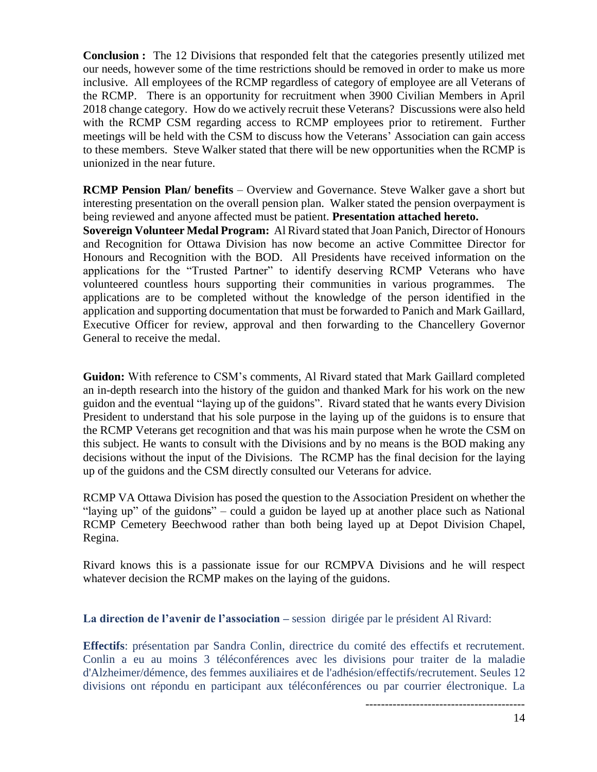**Conclusion :** The 12 Divisions that responded felt that the categories presently utilized met our needs, however some of the time restrictions should be removed in order to make us more inclusive. All employees of the RCMP regardless of category of employee are all Veterans of the RCMP. There is an opportunity for recruitment when 3900 Civilian Members in April 2018 change category. How do we actively recruit these Veterans? Discussions were also held with the RCMP CSM regarding access to RCMP employees prior to retirement. Further meetings will be held with the CSM to discuss how the Veterans' Association can gain access to these members. Steve Walker stated that there will be new opportunities when the RCMP is unionized in the near future.

**RCMP Pension Plan/ benefits** – Overview and Governance. Steve Walker gave a short but interesting presentation on the overall pension plan. Walker stated the pension overpayment is being reviewed and anyone affected must be patient. **Presentation attached hereto.** 

**Sovereign Volunteer Medal Program:** Al Rivard stated that Joan Panich, Director of Honours and Recognition for Ottawa Division has now become an active Committee Director for Honours and Recognition with the BOD. All Presidents have received information on the applications for the "Trusted Partner" to identify deserving RCMP Veterans who have volunteered countless hours supporting their communities in various programmes. The applications are to be completed without the knowledge of the person identified in the application and supporting documentation that must be forwarded to Panich and Mark Gaillard, Executive Officer for review, approval and then forwarding to the Chancellery Governor General to receive the medal.

**Guidon:** With reference to CSM's comments, Al Rivard stated that Mark Gaillard completed an in-depth research into the history of the guidon and thanked Mark for his work on the new guidon and the eventual "laying up of the guidons". Rivard stated that he wants every Division President to understand that his sole purpose in the laying up of the guidons is to ensure that the RCMP Veterans get recognition and that was his main purpose when he wrote the CSM on this subject. He wants to consult with the Divisions and by no means is the BOD making any decisions without the input of the Divisions. The RCMP has the final decision for the laying up of the guidons and the CSM directly consulted our Veterans for advice.

RCMP VA Ottawa Division has posed the question to the Association President on whether the "laying up" of the guidons" – could a guidon be layed up at another place such as National RCMP Cemetery Beechwood rather than both being layed up at Depot Division Chapel, Regina.

Rivard knows this is a passionate issue for our RCMPVA Divisions and he will respect whatever decision the RCMP makes on the laying of the guidons.

**La direction de l'avenir de l'association –** session dirigée par le président Al Rivard:

**Effectifs**: présentation par Sandra Conlin, directrice du comité des effectifs et recrutement. Conlin a eu au moins 3 téléconférences avec les divisions pour traiter de la maladie d'Alzheimer/démence, des femmes auxiliaires et de l'adhésion/effectifs/recrutement. Seules 12 divisions ont répondu en participant aux téléconférences ou par courrier électronique. La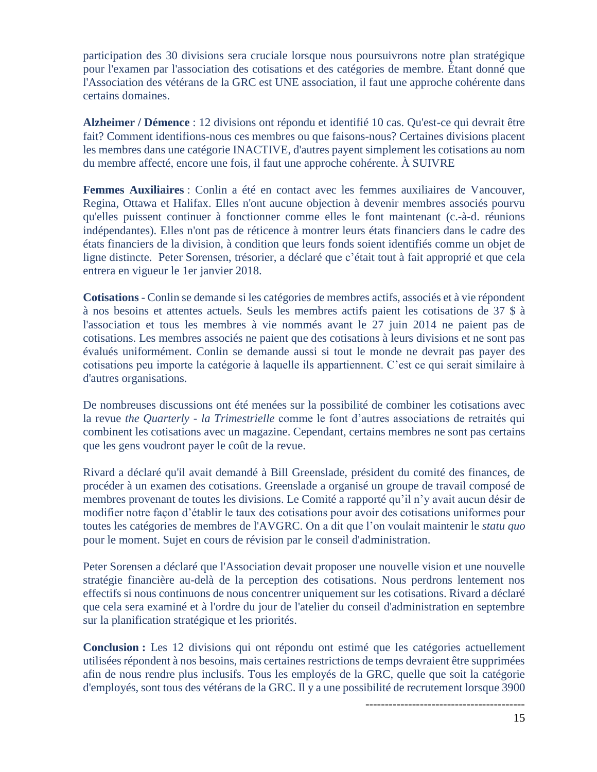participation des 30 divisions sera cruciale lorsque nous poursuivrons notre plan stratégique pour l'examen par l'association des cotisations et des catégories de membre. Étant donné que l'Association des vétérans de la GRC est UNE association, il faut une approche cohérente dans certains domaines.

**Alzheimer / Démence** : 12 divisions ont répondu et identifié 10 cas. Qu'est-ce qui devrait être fait? Comment identifions-nous ces membres ou que faisons-nous? Certaines divisions placent les membres dans une catégorie INACTIVE, d'autres payent simplement les cotisations au nom du membre affecté, encore une fois, il faut une approche cohérente. À SUIVRE

**Femmes Auxiliaires** : Conlin a été en contact avec les femmes auxiliaires de Vancouver, Regina, Ottawa et Halifax. Elles n'ont aucune objection à devenir membres associés pourvu qu'elles puissent continuer à fonctionner comme elles le font maintenant (c.-à-d. réunions indépendantes). Elles n'ont pas de réticence à montrer leurs états financiers dans le cadre des états financiers de la division, à condition que leurs fonds soient identifiés comme un objet de ligne distincte. Peter Sorensen, trésorier, a déclaré que c'était tout à fait approprié et que cela entrera en vigueur le 1er janvier 2018.

**Cotisations** - Conlin se demande si les catégories de membres actifs, associés et à vie répondent à nos besoins et attentes actuels. Seuls les membres actifs paient les cotisations de 37 \$ à l'association et tous les membres à vie nommés avant le 27 juin 2014 ne paient pas de cotisations. Les membres associés ne paient que des cotisations à leurs divisions et ne sont pas évalués uniformément. Conlin se demande aussi si tout le monde ne devrait pas payer des cotisations peu importe la catégorie à laquelle ils appartiennent. C'est ce qui serait similaire à d'autres organisations.

De nombreuses discussions ont été menées sur la possibilité de combiner les cotisations avec la revue *the Quarterly - la Trimestrielle* comme le font d'autres associations de retraités qui combinent les cotisations avec un magazine. Cependant, certains membres ne sont pas certains que les gens voudront payer le coût de la revue.

Rivard a déclaré qu'il avait demandé à Bill Greenslade, président du comité des finances, de procéder à un examen des cotisations. Greenslade a organisé un groupe de travail composé de membres provenant de toutes les divisions. Le Comité a rapporté qu'il n'y avait aucun désir de modifier notre façon d'établir le taux des cotisations pour avoir des cotisations uniformes pour toutes les catégories de membres de l'AVGRC. On a dit que l'on voulait maintenir le *statu quo* pour le moment. Sujet en cours de révision par le conseil d'administration.

Peter Sorensen a déclaré que l'Association devait proposer une nouvelle vision et une nouvelle stratégie financière au-delà de la perception des cotisations. Nous perdrons lentement nos effectifs si nous continuons de nous concentrer uniquement sur les cotisations. Rivard a déclaré que cela sera examiné et à l'ordre du jour de l'atelier du conseil d'administration en septembre sur la planification stratégique et les priorités.

**Conclusion :** Les 12 divisions qui ont répondu ont estimé que les catégories actuellement utilisées répondent à nos besoins, mais certaines restrictions de temps devraient être supprimées afin de nous rendre plus inclusifs. Tous les employés de la GRC, quelle que soit la catégorie d'employés, sont tous des vétérans de la GRC. Il y a une possibilité de recrutement lorsque 3900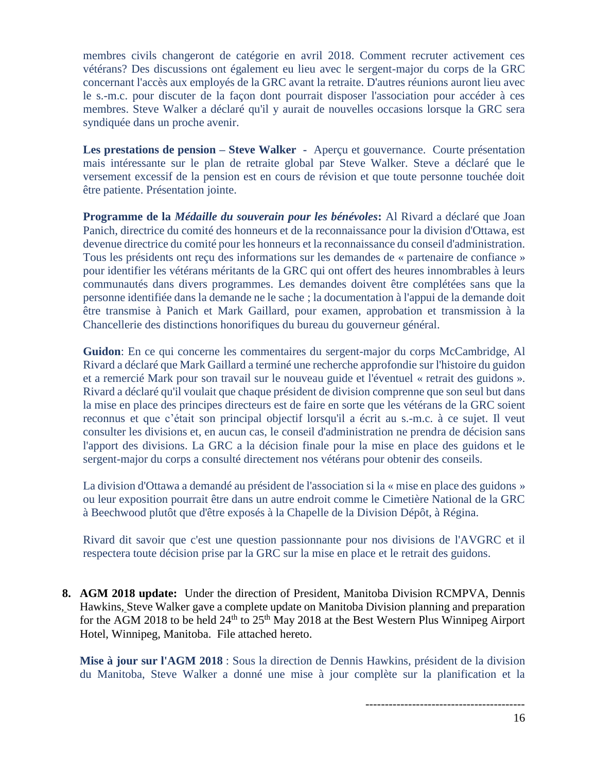membres civils changeront de catégorie en avril 2018. Comment recruter activement ces vétérans? Des discussions ont également eu lieu avec le sergent-major du corps de la GRC concernant l'accès aux employés de la GRC avant la retraite. D'autres réunions auront lieu avec le s.-m.c. pour discuter de la façon dont pourrait disposer l'association pour accéder à ces membres. Steve Walker a déclaré qu'il y aurait de nouvelles occasions lorsque la GRC sera syndiquée dans un proche avenir.

**Les prestations de pension – Steve Walker -** Aperçu et gouvernance. Courte présentation mais intéressante sur le plan de retraite global par Steve Walker. Steve a déclaré que le versement excessif de la pension est en cours de révision et que toute personne touchée doit être patiente. Présentation jointe.

**Programme de la** *Médaille du souverain pour les bénévoles***:** Al Rivard a déclaré que Joan Panich, directrice du comité des honneurs et de la reconnaissance pour la division d'Ottawa, est devenue directrice du comité pour les honneurs et la reconnaissance du conseil d'administration. Tous les présidents ont reçu des informations sur les demandes de « partenaire de confiance » pour identifier les vétérans méritants de la GRC qui ont offert des heures innombrables à leurs communautés dans divers programmes. Les demandes doivent être complétées sans que la personne identifiée dans la demande ne le sache ; la documentation à l'appui de la demande doit être transmise à Panich et Mark Gaillard, pour examen, approbation et transmission à la Chancellerie des distinctions honorifiques du bureau du gouverneur général.

**Guidon**: En ce qui concerne les commentaires du sergent-major du corps McCambridge, Al Rivard a déclaré que Mark Gaillard a terminé une recherche approfondie sur l'histoire du guidon et a remercié Mark pour son travail sur le nouveau guide et l'éventuel « retrait des guidons ». Rivard a déclaré qu'il voulait que chaque président de division comprenne que son seul but dans la mise en place des principes directeurs est de faire en sorte que les vétérans de la GRC soient reconnus et que c'était son principal objectif lorsqu'il a écrit au s.-m.c. à ce sujet. Il veut consulter les divisions et, en aucun cas, le conseil d'administration ne prendra de décision sans l'apport des divisions. La GRC a la décision finale pour la mise en place des guidons et le sergent-major du corps a consulté directement nos vétérans pour obtenir des conseils.

La division d'Ottawa a demandé au président de l'association si la « mise en place des guidons » ou leur exposition pourrait être dans un autre endroit comme le Cimetière National de la GRC à Beechwood plutôt que d'être exposés à la Chapelle de la Division Dépôt, à Régina.

Rivard dit savoir que c'est une question passionnante pour nos divisions de l'AVGRC et il respectera toute décision prise par la GRC sur la mise en place et le retrait des guidons.

**8. AGM 2018 update:** Under the direction of President, Manitoba Division RCMPVA, Dennis Hawkins, Steve Walker gave a complete update on Manitoba Division planning and preparation for the AGM 2018 to be held  $24<sup>th</sup>$  to  $25<sup>th</sup>$  May 2018 at the Best Western Plus Winnipeg Airport Hotel, Winnipeg, Manitoba. File attached hereto.

**Mise à jour sur l'AGM 2018** : Sous la direction de Dennis Hawkins, président de la division du Manitoba, Steve Walker a donné une mise à jour complète sur la planification et la